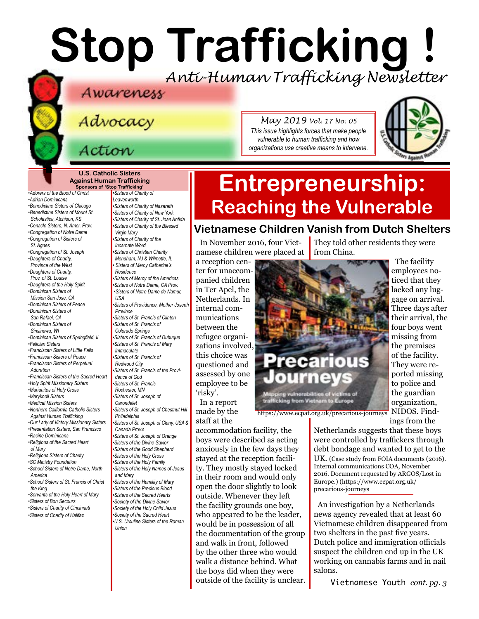# **Stop Trafficking !** *Anti-Human Trafficking Newsletter*

Advocacy

*May 2019 Vol. 17 No. 05 This issue highlights forces that make people vulnerable to human trafficking and how organizations use creative means to intervene.*



#### **U.S. Catholic Sisters Against Human Trafficking**

Action

**Sponsors of 'Stop Trafficking'** *•Adorers of the Blood of Christ •Adrian Dominicans •Benedictine Sisters of Chicago •Benedictine Sisters of Mount St. Scholastica, Atchison, KS •Cenacle Sisters, N. Amer. Prov. •Congregation of Notre Dame •Congregation of Sisters of St. Agnes •[Congregation of St. Joseph](http://www.scjoseph.org) •Daughters of Charity, Province of the West •Daughters of Charity, Prov. of St. Louise •[Daughters of the Holy Spirit](http://www.daughtersoftheholyspirit.org/) •Dominican Sisters of Mission San Jose, CA •Dominican Sisters of Peace •Dominican Sisters of San Rafael, CA •Dominican Sisters of Sinsinawa, WI •[Dominican Sisters of Springfield, IL](http://springfieldop.org/) •Felician Sisters •Franciscan Sisters of Little Falls •Franciscan Sisters of Peace •Franciscan Sisters of Perpetual Adoration •[Franciscan Sisters of the Sacred Heart](http://www.fssh.com) •[Holy Spirit Missionary Sisters](http://www.ssps-usa.org) •Marianites of Holy Cross •[Maryknoll Sisters](https://www.maryknollsisters.org/) •[Medical Mission Sisters](http://www.medicalmissionsisters.org/) •Northern California Catholic Sisters Against Human Trafficking •Our Lady of Victory Missionary Sisters •Presentation Sisters, San Francisco •[Racine Dominicans](https://www.racinedominicans.org) •Religious of the Sacred Heart of Mary •Religious Sisters of Charity [•SC Ministry Foundation](http://www.scministryfdn.org) •School Sisters of Notre Dame, North America •School Sisters of St. Francis of Christ the King •[Servants of the Holy Heart of Mary](http://www.sscm-usa.org/) [•Sisters of B](http://bonsecours.org)on Secours •Sisters of Charity of Cincinnati •Sisters of Charity of Halifax*

*•Sisters of Charity of Leavenworth •Sisters of Charity of Nazareth •Sisters of Charity of New York •Sisters of Charity of St. Joan Antida •[Sisters of Charity of the Blessed](http://www.bvmcong.org/)  [Virgin Mary](http://www.bvmcong.org/) •[Sisters of Charity of the](http://www.sistersofcharity.org/)  [Incarnate Word](http://www.sistersofcharity.org/) •Sisters of Christian Charity Mendham, NJ & Wilmette, IL • Sisters of Mercy Catherine's Residence •Sisters of Mercy of the Americas •Sisters of Notre Dame, CA Prov. •Sisters of Notre Dame de Namur, USA •[Sisters of Providence, Mother Joseph](http://sistersofprovidence.net/)  [Province](http://sistersofprovidence.net/) •Sisters of St. Francis of Clinton •Sisters of St. Francis of Colorado Springs •Sisters of St. Francis of Dubuque [•Sisters of St. Francis of](http://www.jolietfranciscans.org/) Mary Immaculate •Sisters of St. Francis of Redwood City •Sisters of St. Francis of the Providence of God •[Sisters of St. Francis](https://www.rochesterfranciscan.org/what-we-do/justice-and-peace/human-rights-issues.html)  [Rochester, MN](https://www.rochesterfranciscan.org/what-we-do/justice-and-peace/human-rights-issues.html) •Sisters of St. Joseph of Carondelet •Sisters of St. Joseph of Chestnut Hill Philadelphia •Sisters of St. Joseph of Cluny, USA & Canada Prov.s •Sisters of St. Joseph of Orange •Sisters of the Divine Savior •Sisters of the Good Shepherd •Sisters of the Holy Cross •Sisters of the Holy Family •Sisters of the Holy Names of Jesus and Mary •Sisters of the Humility of Mary •Sisters of the Precious Blood •[Sisters of the Sacred Hearts](http://www.sistersofthesacredhearts.org) [•Society of the Divine Savior](http://www.salvatorians.com) •Society of the Holy Child Jesus [•Society of the](https://rscj.org/) Sacred Heart •[U.S. Ursuline Sisters of the Roman](http://usaromanunionursulines.org/)  [Union](http://usaromanunionursulines.org/)*

## **Entrepreneurship: Reaching the Vulnerable**

### **Vietnamese Children Vanish from Dutch Shelters**

In November 2016, four Vietnamese children were placed at

a reception center for unaccompanied children in Ter Apel, the Netherlands. In internal communications between the refugee organizations involved, this choice was questioned and assessed by one employee to be 'risky'.

In a report made by the staff at the

accommodation facility, the boys were described as acting anxiously in the few days they stayed at the reception facility. They mostly stayed locked in their room and would only open the door slightly to look outside. Whenever they left the facility grounds one boy, who appeared to be the leader, would be in possession of all the documentation of the group and walk in front, followed by the other three who would walk a distance behind. What the boys did when they were outside of the facility is unclear.

They told other residents they were



The facility employees noticed that they lacked any luggage on arrival. Three days after their arrival, the four boys went missing from the premises of the facility. They were reported missing to police and the guardian organization, NIDOS. Findings from the

https://www.ecpat.org.uk/precarious-journeys

Netherlands suggests that these boys were controlled by traffickers through debt bondage and wanted to get to the UK. (Case study from FOIA documents (2016). Internal communications COA, November 2016. Document requested by ARGOS/Lost in Europe.) (https://www.ecpat.org.uk/ precarious-journeys

An investigation by a Netherlands news agency revealed that at least 60 Vietnamese children disappeared from two shelters in the past five years. Dutch police and immigration officials suspect the children end up in the UK working on cannabis farms and in nail salons.

Vietnamese Youth *cont. pg. 3*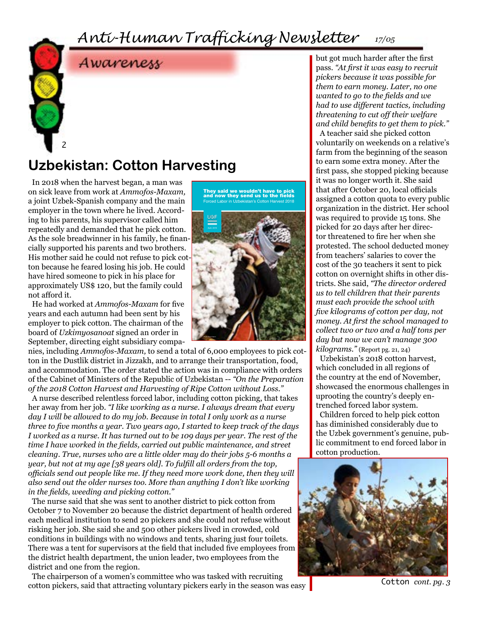## *Anti-Human Trafficking Newsletter 17/05*



### **Uzbekistan: Cotton Harvesting**

In 2018 when the harvest began, a man was on sick leave from work at *Ammofos-Maxam,*  a joint Uzbek-Spanish company and the main employer in the town where he lived. According to his parents, his supervisor called him repeatedly and demanded that he pick cotton. As the sole breadwinner in his family, he financially supported his parents and two brothers. His mother said he could not refuse to pick cotton because he feared losing his job. He could have hired someone to pick in his place for approximately US\$ 120, but the family could not afford it.

2

He had worked at *Ammofos-Maxam* for five years and each autumn had been sent by his employer to pick cotton. The chairman of the board of *Uzkimyosanoat* signed an order in September, directing eight subsidiary compa-

nies, including *Ammofos-Maxam,* to send a total of 6,000 employees to pick cotton in the Dustlik district in Jizzakh, and to arrange their transportation, food, and accommodation. The order stated the action was in compliance with orders of the Cabinet of Ministers of the Republic of Uzbekistan -- *"On the Preparation of the 2018 Cotton Harvest and Harvesting of Ripe Cotton without Loss."*

A nurse described relentless forced labor, including cotton picking, that takes her away from her job. *"I like working as a nurse. I always dream that every day I will be allowed to do my job. Because in total I only work as a nurse three to five months a year. Two years ago, I started to keep track of the days I worked as a nurse. It has turned out to be 109 days per year. The rest of the time I have worked in the fields, carried out public maintenance, and street cleaning. True, nurses who are a little older may do their jobs 5-6 months a year, but not at my age [38 years old]. To fulfill all orders from the top, officials send out people like me. If they need more work done, then they will also send out the older nurses too. More than anything I don't like working in the fields, weeding and picking cotton."*

The nurse said that she was sent to another district to pick cotton from October 7 to November 20 because the district department of health ordered each medical institution to send 20 pickers and she could not refuse without risking her job. She said she and 500 other pickers lived in crowded, cold conditions in buildings with no windows and tents, sharing just four toilets. There was a tent for supervisors at the field that included five employees from the district health department, the union leader, two employees from the district and one from the region.

The chairperson of a women's committee who was tasked with recruiting cotton pickers, said that attracting voluntary pickers early in the season was easy



but got much harder after the first pass. *"At first it was easy to recruit pickers because it was possible for them to earn money. Later, no one wanted to go to the fields and we had to use different tactics, including threatening to cut off their welfare and child benefits to get them to pick."* 

A teacher said she picked cotton voluntarily on weekends on a relative's farm from the beginning of the season to earn some extra money. After the first pass, she stopped picking because it was no longer worth it. She said that after October 20, local officials assigned a cotton quota to every public organization in the district. Her school was required to provide 15 tons. She picked for 20 days after her director threatened to fire her when she protested. The school deducted money from teachers' salaries to cover the cost of the 30 teachers it sent to pick cotton on overnight shifts in other districts. She said, *"The director ordered us to tell children that their parents must each provide the school with five kilograms of cotton per day, not money. At first the school managed to collect two or two and a half tons per day but now we can't manage 300 kilograms."* (Report pg. 21, 24)

Uzbekistan's 2018 cotton harvest, which concluded in all regions of the country at the end of November, showcased the enormous challenges in uprooting the country's deeply entrenched forced labor system.

Children forced to help pick cotton has diminished considerably due to the Uzbek government's genuine, public commitment to end forced labor in cotton production.



Cotton *cont. pg. 3*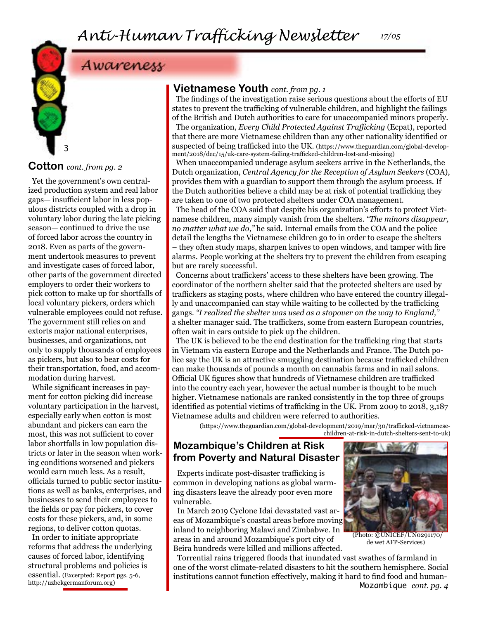*17/05*

### Awareness

### **Cotton** *cont. from pg. 2*

3

Yet the government's own centralized production system and real labor gaps— insufficient labor in less populous districts coupled with a drop in voluntary labor during the late picking season— continued to drive the use of forced labor across the country in 2018. Even as parts of the government undertook measures to prevent and investigate cases of forced labor, other parts of the government directed employers to order their workers to pick cotton to make up for shortfalls of local voluntary pickers, orders which vulnerable employees could not refuse. The government still relies on and extorts major national enterprises, businesses, and organizations, not only to supply thousands of employees as pickers, but also to bear costs for their transportation, food, and accommodation during harvest.

While significant increases in payment for cotton picking did increase voluntary participation in the harvest, especially early when cotton is most abundant and pickers can earn the most, this was not sufficient to cover labor shortfalls in low population districts or later in the season when working conditions worsened and pickers would earn much less. As a result, officials turned to public sector institutions as well as banks, enterprises, and businesses to send their employees to the fields or pay for pickers, to cover costs for these pickers, and, in some regions, to deliver cotton quotas.

In order to initiate appropriate reforms that address the underlying causes of forced labor, identifying structural problems and policies is essential. (Excerpted: Report pgs. 5-6, http://uzbekgermanforum.org)

#### **Vietnamese Youth** *cont. from pg. 1*

The findings of the investigation raise serious questions about the efforts of EU states to prevent the trafficking of vulnerable children, and highlight the failings of the British and Dutch authorities to care for unaccompanied minors properly.

The organization, *Every Child Protected Against Trafficking* (Ecpat), reported that there are more Vietnamese children than any other nationality identified or suspected of being trafficked into the UK. (https://www.theguardian.com/global-development/2018/dec/15/uk-care-system-failing-trafficked-children-lost-and-missing)

When unaccompanied underage asylum seekers arrive in the Netherlands, the Dutch organization, *Central Agency for the Reception of Asylum Seekers* (COA), provides them with a guardian to support them through the asylum process. If the Dutch authorities believe a child may be at risk of potential trafficking they are taken to one of two protected shelters under COA management.

The head of the COA said that despite his organization's efforts to protect Vietnamese children, many simply vanish from the shelters. *"The minors disappear, no matter what we do,"* he said. Internal emails from the COA and the police detail the lengths the Vietnamese children go to in order to escape the shelters – they often study maps, sharpen knives to open windows, and tamper with fire alarms. People working at the shelters try to prevent the children from escaping but are rarely successful.

Concerns about traffickers' access to these shelters have been growing. The coordinator of the northern shelter said that the protected shelters are used by traffickers as staging posts, where children who have entered the country illegally and unaccompanied can stay while waiting to be collected by the trafficking gangs. *"I realized the shelter was used as a stopover on the way to England,"*  a shelter manager said. The traffickers, some from eastern European countries, often wait in cars outside to pick up the children.

The UK is believed to be the end destination for the trafficking ring that starts in Vietnam via eastern Europe and the Netherlands and France. The Dutch police say the UK is an attractive smuggling destination because trafficked children can make thousands of pounds a month on cannabis farms and in nail salons. Official UK figures show that hundreds of Vietnamese children are trafficked into the country each year, however the actual number is thought to be much higher. Vietnamese nationals are ranked consistently in the top three of groups identified as potential victims of trafficking in the UK. From 2009 to 2018, 3,187 Vietnamese adults and children were referred to authorities.

(https://www.theguardian.com/global-development/2019/mar/30/trafficked-vietnamese-

children-at-risk-in-dutch-shelters-sent-to-uk)

#### **Mozambique's Children at Risk from Poverty and Natural Disaster**

Experts indicate post-disaster trafficking is common in developing nations as global warming disasters leave the already poor even more vulnerable.

In March 2019 Cyclone Idai devastated vast areas of Mozambique's coastal areas before moving inland to neighboring Malawi and Zimbabwe. In areas in and around Mozambique's port city of Beira hundreds were killed and millions affected.

(Photo: ©UNICEF/UN0291170/ de wet AFP-Services)

Torrential rains triggered floods that inundated vast swathes of farmland in one of the worst climate-related disasters to hit the southern hemisphere. Social institutions cannot function effectively, making it hard to find food and human-Mozambique *cont. pg. 4*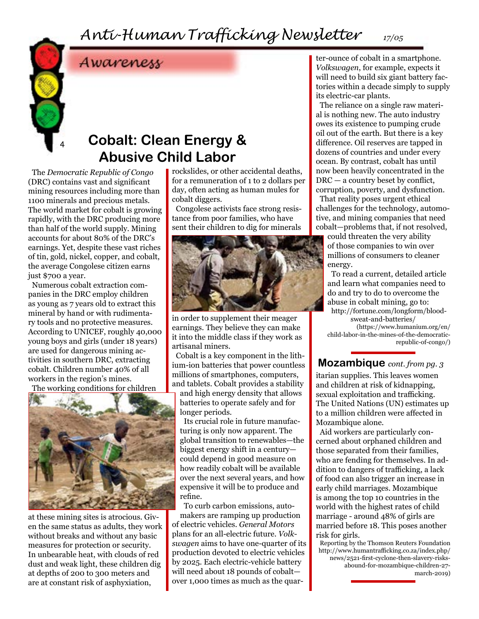### *Anti-Human Trafficking Newsletter*

4

Awareness

### **Cobalt: Clean Energy & Abusive Child Labor**

The *Democratic Republic of Congo*  (DRC) contains vast and significant mining resources including more than 1100 minerals and precious metals. The world market for cobalt is growing rapidly, with the DRC producing more than half of the world supply. Mining accounts for about 80% of the DRC's earnings. Yet, despite these vast riches of tin, gold, nickel, copper, and cobalt, the average Congolese citizen earns just \$700 a year.

Numerous cobalt extraction companies in the DRC employ children as young as 7 years old to extract this mineral by hand or with rudimentary tools and no protective measures. According to UNICEF, roughly 40,000 young boys and girls (under 18 years) are used for dangerous mining activities in southern DRC, extracting cobalt. Children number 40% of all workers in the region's mines.

The working conditions for children



at these mining sites is atrocious. Given the same status as adults, they work without breaks and without any basic measures for protection or security. In unbearable heat, with clouds of red dust and weak light, these children dig at depths of 200 to 300 meters and are at constant risk of asphyxiation,

rockslides, or other accidental deaths, for a remuneration of 1 to 2 dollars per day, often acting as human mules for cobalt diggers.

Congolese activists face strong resistance from poor families, who have sent their children to dig for minerals



in order to supplement their meager earnings. They believe they can make it into the middle class if they work as artisanal miners.

Cobalt is a key component in the lithium-ion batteries that power countless millions of smartphones, computers, and tablets. Cobalt provides a stability and high energy density that allows batteries to operate safely and for longer periods.

Its crucial role in future manufacturing is only now apparent. The global transition to renewables—the biggest energy shift in a century could depend in good measure on how readily cobalt will be available over the next several years, and how expensive it will be to produce and refine.

To curb carbon emissions, auto-

makers are ramping up production of electric vehicles. *General Motors* plans for an all-electric future. *Volkswagen* aims to have one-quarter of its production devoted to electric vehicles by 2025. Each electric-vehicle battery will need about 18 pounds of cobalt over 1,000 times as much as the quar-

ter-ounce of cobalt in a smartphone. *Volkswagen*, for example, expects it will need to build six giant battery factories within a decade simply to supply its electric-car plants.

*17/05*

The reliance on a single raw material is nothing new. The auto industry owes its existence to pumping crude oil out of the earth. But there is a key difference. Oil reserves are tapped in dozens of countries and under every ocean. By contrast, cobalt has until now been heavily concentrated in the DRC — a country beset by conflict, corruption, poverty, and dysfunction. That reality poses urgent ethical challenges for the technology, automotive, and mining companies that need cobalt—problems that, if not resolved,

could threaten the very ability of those companies to win over millions of consumers to cleaner energy.

To read a current, detailed article and learn what companies need to do and try to do to overcome the abuse in cobalt mining, go to: http://fortune.com/longform/bloodsweat-and-batteries/

(https://www.humanium.org/en/ child-labor-in-the-mines-of-the-democraticrepublic-of-congo/)

**Mozambique** *cont. from pg. 3*

itarian supplies. This leaves women and children at risk of kidnapping, sexual exploitation and trafficking. The United Nations (UN) estimates up to a million children were affected in Mozambique alone.

Aid workers are particularly concerned about orphaned children and those separated from their families, who are fending for themselves. In addition to dangers of trafficking, a lack of food can also trigger an increase in early child marriages. Mozambique is among the top 10 countries in the world with the highest rates of child marriage - around 48% of girls are married before 18. This poses another risk for girls.

Reporting by the Thomson Reuters Foundation http://www.humantrafficking.co.za/index.php/ news/2521-first-cyclone-then-slavery-risksabound-for-mozambique-children-27 march-2019)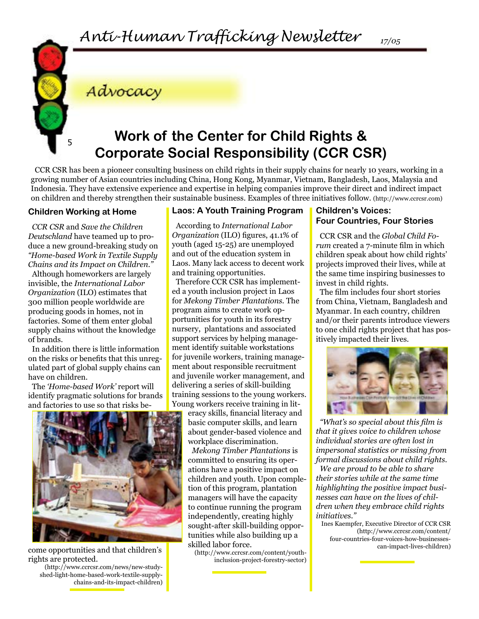### Advocacy

### <sup>5</sup> **Work of the Center for Child Rights & Corporate Social Responsibility (CCR CSR)**

CCR CSR has been a pioneer consulting business on child rights in their supply chains for nearly 10 years, working in a growing number of Asian countries including China, Hong Kong, Myanmar, Vietnam, Bangladesh, Laos, Malaysia and Indonesia. They have extensive experience and expertise in helping companies improve their direct and indirect impact on children and thereby strengthen their sustainable business. Examples of three initiatives follow. (http://www.ccrcsr.com)

#### **Children Working at Home**

*CCR CSR* and *Save the Children Deutschland* have teamed up to produce a new ground-breaking study on *"Home-based Work in Textile Supply Chains and its Impact on Children."*

Although homeworkers are largely invisible, the *International Labor Organization* (ILO) estimates that 300 million people worldwide are producing goods in homes, not in factories. Some of them enter global supply chains without the knowledge of brands.

In addition there is little information on the risks or benefits that this unregulated part of global supply chains can have on children.

The *'Home-based Work'* report will identify pragmatic solutions for brands and factories to use so that risks be-



come opportunities and that children's rights are protected.

(http://www.ccrcsr.com/news/new-studyshed-light-home-based-work-textile-supplychains-and-its-impact-children)

#### **Laos: A Youth Training Program**

According to *International Labor Organization* (ILO) figures, 41.1% of youth (aged 15-25) are unemployed and out of the education system in Laos. Many lack access to decent work and training opportunities.

Therefore CCR CSR has implemented a youth inclusion project in Laos for *Mekong Timber Plantations.* The program aims to create work opportunities for youth in its forestry nursery, plantations and associated support services by helping management identify suitable workstations for juvenile workers, training management about responsible recruitment and juvenile worker management, and delivering a series of skill-building training sessions to the young workers. Young workers receive training in lit-

eracy skills, financial literacy and basic computer skills, and learn about gender-based violence and workplace discrimination.

*Mekong Timber Plantations* is committed to ensuring its operations have a positive impact on children and youth. Upon completion of this program, plantation managers will have the capacity to continue running the program independently, creating highly sought-after skill-building opportunities while also building up a skilled labor force.

(http://www.ccrcsr.com/content/youthinclusion-project-forestry-sector)

#### **Children's Voices: Four Countries, Four Stories**

CCR CSR and the *Global Child Forum* created a 7-minute film in which children speak about how child rights' projects improved their lives, while at the same time inspiring businesses to invest in child rights.

The film includes four short stories from China, Vietnam, Bangladesh and Myanmar. In each country, children and/or their parents introduce viewers to one child rights project that has positively impacted their lives.



*"What's so special about this film is that it gives voice to children whose individual stories are often lost in impersonal statistics or missing from formal discussions about child rights. We are proud to be able to share their stories while at the same time highlighting the positive impact businesses can have on the lives of children when they embrace child rights initiatives."* 

Ines Kaempfer, Executive Director of CCR CSR (http://www.ccrcsr.com/content/ four-countries-four-voices-how-businessescan-impact-lives-children)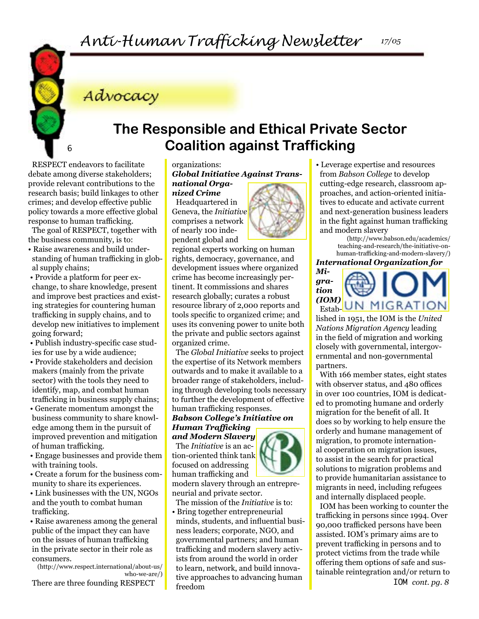Advocacy

### **The Responsible and Ethical Private Sector Coalition against Trafficking**

RESPECT endeavors to facilitate debate among diverse stakeholders; provide relevant contributions to the research basis; build linkages to other crimes; and develop effective public policy towards a more effective global response to human trafficking.

6

The goal of RESPECT, together with the business community, is to:

- Raise awareness and build understanding of human trafficking in global supply chains;
- Provide a platform for peer exchange, to share knowledge, present and improve best practices and existing strategies for countering human trafficking in supply chains, and to develop new initiatives to implement going forward;
- Publish industry-specific case studies for use by a wide audience;
- Provide stakeholders and decision makers (mainly from the private sector) with the tools they need to identify, map, and combat human trafficking in business supply chains;

 • Generate momentum amongst the business community to share knowledge among them in the pursuit of improved prevention and mitigation of human trafficking.

 • Engage businesses and provide them with training tools.

 • Create a forum for the business community to share its experiences.

 • Link businesses with the UN, NGOs and the youth to combat human trafficking.

 • Raise awareness among the general public of the impact they can have on the issues of human trafficking in the private sector in their role as consumers.

(http://www.respect.international/about-us/ who-we-are/)

There are three founding RESPECT

#### organizations: *Global Initiative Against Transnational Organized Crime*

Headquartered in Geneva, the *Initiative* comprises a network of nearly 100 independent global and

regional experts working on human rights, democracy, governance, and development issues where organized crime has become increasingly pertinent. It commissions and shares research globally; curates a robust resource library of 2,000 reports and tools specific to organized crime; and uses its convening power to unite both the private and public sectors against organized crime.

The *Global Initiative* seeks to project the expertise of its Network members outwards and to make it available to a broader range of stakeholders, including through developing tools necessary to further the development of effective human trafficking responses.

#### *Babson College's Initiative on Human Trafficking*

*and Modern Slavery*  The *Initiative* is an action-oriented think tank focused on addressing human trafficking and

modern slavery through an entrepreneurial and private sector.

The mission of the *Initiative* is to: • Bring together entrepreneurial minds, students, and influential business leaders; corporate, NGO, and governmental partners; and human trafficking and modern slavery activists from around the world in order to learn, network, and build innovative approaches to advancing human freedom

• Leverage expertise and resources from *Babson College* to develop cutting-edge research, classroom approaches, and action-oriented initiatives to educate and activate current and next-generation business leaders in the fight against human trafficking and modern slavery

(http://www.babson.edu/academics/ teaching-and-research/the-initiative-onhuman-trafficking-and-modern-slavery/)

*International Organization for* 



lished in 1951, the IOM is the *United Nations Migration Agency* leading in the field of migration and working closely with governmental, intergovernmental and non-governmental partners.

With 166 member states, eight states with observer status, and 480 offices in over 100 countries, IOM is dedicated to promoting humane and orderly migration for the benefit of all. It does so by working to help ensure the orderly and humane management of migration, to promote international cooperation on migration issues, to assist in the search for practical solutions to migration problems and to provide humanitarian assistance to migrants in need, including refugees and internally displaced people.

IOM has been working to counter the trafficking in persons since 1994. Over 90,000 trafficked persons have been assisted. IOM's primary aims are to prevent trafficking in persons and to protect victims from the trade while offering them options of safe and sustainable reintegration and/or return to



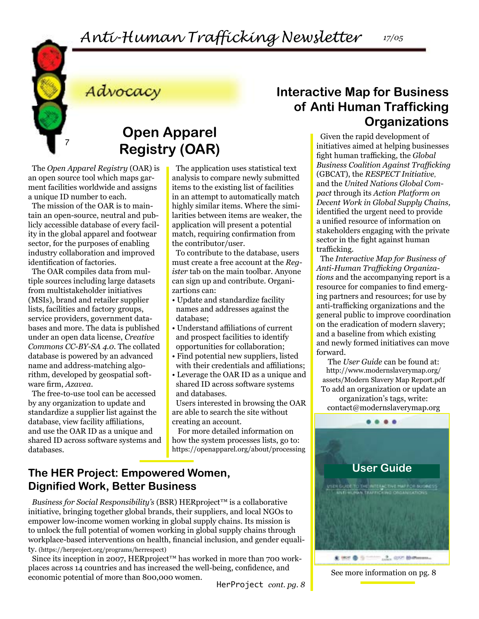*Anti-Human Trafficking Newsletter 17/05*



Advocacy

### **Open Apparel Registry (OAR)**

The *Open Apparel Registry* (OAR) is an open source tool which maps garment facilities worldwide and assigns a unique ID number to each.

The mission of the OAR is to maintain an open-source, neutral and publicly accessible database of every facility in the global apparel and footwear sector, for the purposes of enabling industry collaboration and improved identification of factories.

The OAR compiles data from multiple sources including large datasets from multistakeholder initiatives (MSIs), brand and retailer supplier lists, facilities and factory groups, service providers, government databases and more. The data is published under an open data license, *Creative Commons CC-BY-SA 4.0.* The collated database is powered by an advanced name and address-matching algorithm, developed by geospatial software firm, *Azavea.* 

The free-to-use tool can be accessed by any organization to update and standardize a supplier list against the database, view facility affiliations, and use the OAR ID as a unique and shared ID across software systems and databases.

The application uses statistical text analysis to compare newly submitted items to the existing list of facilities in an attempt to automatically match highly similar items. Where the similarities between items are weaker, the application will present a potential match, requiring confirmation from the contributor/user.

To contribute to the database, users must create a free account at the *Register* tab on the main toolbar. Anyone can sign up and contribute. Organizartions can:

- Update and standardize facility names and addresses against the database;
- Understand affiliations of current and prospect facilities to identify opportunities for collaboration;
- Find potential new suppliers, listed with their credentials and affiliations;
- Leverage the OAR ID as a unique and shared ID across software systems and databases.

Users interested in browsing the OAR are able to search the site without creating an account.

For more detailed information on how the system processes lists, go to: https://openapparel.org/about/processing

### **User Guide The HER Project: Empowered Women, Dignified Work, Better Business**

*Business for Social Responsibility's* (BSR) HERproject™ is a collaborative initiative, bringing together global brands, their suppliers, and local NGOs to empower low-income women working in global supply chains. Its mission is to unlock the full potential of women working in global supply chains through workplace-based interventions on health, financial inclusion, and gender equality. (https://herproject.org/programs/herrespect)

Since its inception in 2007, HERproject<sup>™</sup> has worked in more than 700 workplaces across 14 countries and has increased the well-being, confidence, and economic potential of more than 800,000 women. HerProject *cont. pg. 8*

### **Interactive Map for Business of Anti Human Trafficking Organizations**

Given the rapid development of initiatives aimed at helping businesses fight human trafficking, the *Global Business Coalition Against Trafficking* (GBCAT), the *RESPECT Initiative*, and the *United Nations Global Compact* through its *Action Platform on Decent Work in Global Supply Chains,* identified the urgent need to provide a unified resource of information on stakeholders engaging with the private sector in the fight against human trafficking.

The *Interactive Map for Business of Anti-Human Trafficking Organizations* and the accompanying report is a resource for companies to find emerging partners and resources; for use by anti-trafficking organizations and the general public to improve coordination on the eradication of modern slavery; and a baseline from which existing and newly formed initiatives can move forward.

The *User Guide* can be found at: http://www.modernslaverymap.org/ assets/Modern Slavery Map Report.pdf To add an organization or update an organization's tags, write:

contact@modernslaverymap.org



See more information on pg. 8